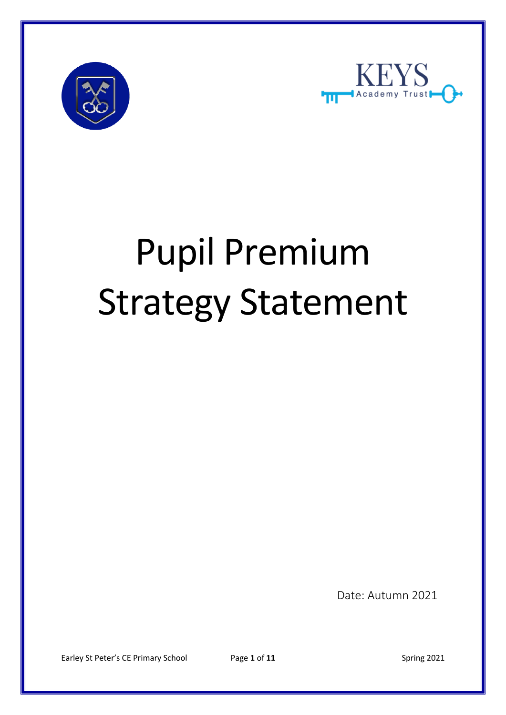



# Pupil Premium Strategy Statement

Date: Autumn 2021

Earley St Peter's CE Primary School Page 1 of 11 Spring 2021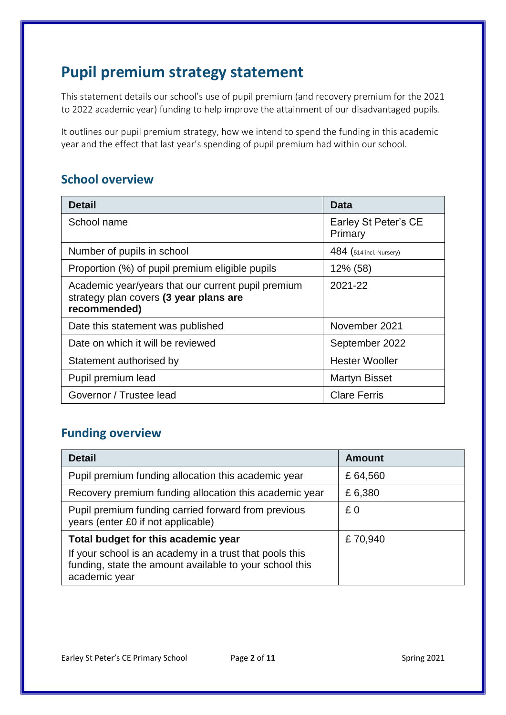## **Pupil premium strategy statement**

This statement details our school's use of pupil premium (and recovery premium for the 2021 to 2022 academic year) funding to help improve the attainment of our disadvantaged pupils.

It outlines our pupil premium strategy, how we intend to spend the funding in this academic year and the effect that last year's spending of pupil premium had within our school.

#### **School overview**

| <b>Detail</b>                                                                                                | Data                            |
|--------------------------------------------------------------------------------------------------------------|---------------------------------|
| School name                                                                                                  | Earley St Peter's CE<br>Primary |
| Number of pupils in school                                                                                   | 484 (514 incl. Nursery)         |
| Proportion (%) of pupil premium eligible pupils                                                              | 12% (58)                        |
| Academic year/years that our current pupil premium<br>strategy plan covers (3 year plans are<br>recommended) | 2021-22                         |
| Date this statement was published                                                                            | November 2021                   |
| Date on which it will be reviewed                                                                            | September 2022                  |
| Statement authorised by                                                                                      | <b>Hester Wooller</b>           |
| Pupil premium lead                                                                                           | <b>Martyn Bisset</b>            |
| Governor / Trustee lead                                                                                      | <b>Clare Ferris</b>             |

#### **Funding overview**

| <b>Detail</b>                                                                                                                       | <b>Amount</b> |
|-------------------------------------------------------------------------------------------------------------------------------------|---------------|
| Pupil premium funding allocation this academic year                                                                                 | £64,560       |
| Recovery premium funding allocation this academic year                                                                              | £6,380        |
| Pupil premium funding carried forward from previous<br>years (enter £0 if not applicable)                                           | £0            |
| Total budget for this academic year                                                                                                 | £70,940       |
| If your school is an academy in a trust that pools this<br>funding, state the amount available to your school this<br>academic year |               |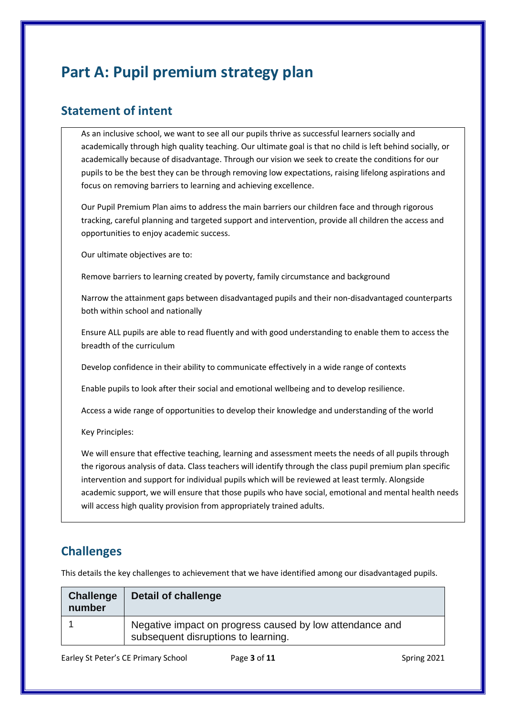## **Part A: Pupil premium strategy plan**

#### **Statement of intent**

As an inclusive school, we want to see all our pupils thrive as successful learners socially and academically through high quality teaching. Our ultimate goal is that no child is left behind socially, or academically because of disadvantage. Through our vision we seek to create the conditions for our pupils to be the best they can be through removing low expectations, raising lifelong aspirations and focus on removing barriers to learning and achieving excellence.

Our Pupil Premium Plan aims to address the main barriers our children face and through rigorous tracking, careful planning and targeted support and intervention, provide all children the access and opportunities to enjoy academic success.

Our ultimate objectives are to:

Remove barriers to learning created by poverty, family circumstance and background

Narrow the attainment gaps between disadvantaged pupils and their non-disadvantaged counterparts both within school and nationally

Ensure ALL pupils are able to read fluently and with good understanding to enable them to access the breadth of the curriculum

Develop confidence in their ability to communicate effectively in a wide range of contexts

Enable pupils to look after their social and emotional wellbeing and to develop resilience.

Access a wide range of opportunities to develop their knowledge and understanding of the world

Key Principles:

We will ensure that effective teaching, learning and assessment meets the needs of all pupils through the rigorous analysis of data. Class teachers will identify through the class pupil premium plan specific intervention and support for individual pupils which will be reviewed at least termly. Alongside academic support, we will ensure that those pupils who have social, emotional and mental health needs will access high quality provision from appropriately trained adults.

#### **Challenges**

This details the key challenges to achievement that we have identified among our disadvantaged pupils.

| <b>Challenge</b><br>number | Detail of challenge                                                                             |
|----------------------------|-------------------------------------------------------------------------------------------------|
|                            | Negative impact on progress caused by low attendance and<br>subsequent disruptions to learning. |

Earley St Peter's CE Primary School Page 3 of 11 Spring 2021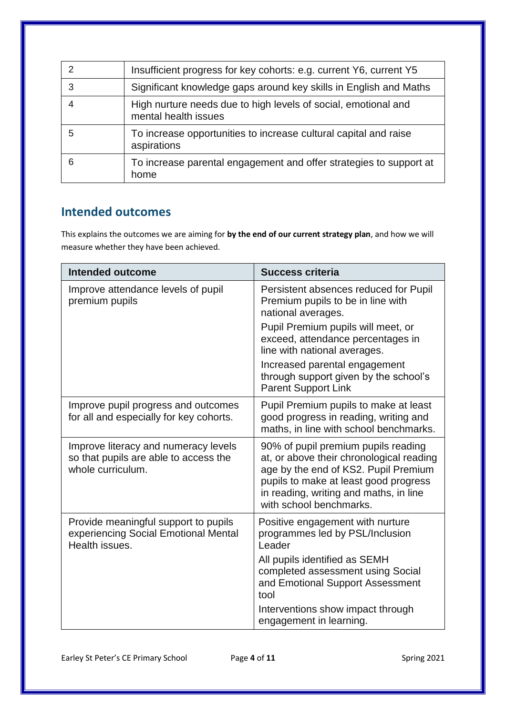|   | Insufficient progress for key cohorts: e.g. current Y6, current Y5                     |
|---|----------------------------------------------------------------------------------------|
|   | Significant knowledge gaps around key skills in English and Maths                      |
|   | High nurture needs due to high levels of social, emotional and<br>mental health issues |
|   | To increase opportunities to increase cultural capital and raise<br>aspirations        |
| 6 | To increase parental engagement and offer strategies to support at<br>home             |

#### **Intended outcomes**

This explains the outcomes we are aiming for **by the end of our current strategy plan**, and how we will measure whether they have been achieved.

| <b>Intended outcome</b>                                                                            | <b>Success criteria</b>                                                                                                                                                                                                               |
|----------------------------------------------------------------------------------------------------|---------------------------------------------------------------------------------------------------------------------------------------------------------------------------------------------------------------------------------------|
| Improve attendance levels of pupil<br>premium pupils                                               | Persistent absences reduced for Pupil<br>Premium pupils to be in line with<br>national averages.                                                                                                                                      |
|                                                                                                    | Pupil Premium pupils will meet, or<br>exceed, attendance percentages in<br>line with national averages.                                                                                                                               |
|                                                                                                    | Increased parental engagement<br>through support given by the school's<br><b>Parent Support Link</b>                                                                                                                                  |
| Improve pupil progress and outcomes<br>for all and especially for key cohorts.                     | Pupil Premium pupils to make at least<br>good progress in reading, writing and<br>maths, in line with school benchmarks.                                                                                                              |
| Improve literacy and numeracy levels<br>so that pupils are able to access the<br>whole curriculum. | 90% of pupil premium pupils reading<br>at, or above their chronological reading<br>age by the end of KS2. Pupil Premium<br>pupils to make at least good progress<br>in reading, writing and maths, in line<br>with school benchmarks. |
| Provide meaningful support to pupils<br>experiencing Social Emotional Mental<br>Health issues.     | Positive engagement with nurture<br>programmes led by PSL/Inclusion<br>Leader                                                                                                                                                         |
|                                                                                                    | All pupils identified as SEMH<br>completed assessment using Social<br>and Emotional Support Assessment<br>tool                                                                                                                        |
|                                                                                                    | Interventions show impact through<br>engagement in learning.                                                                                                                                                                          |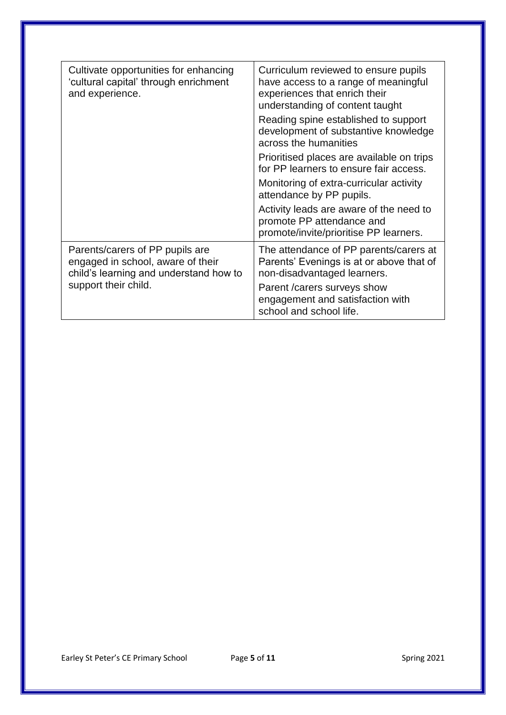| Cultivate opportunities for enhancing<br>'cultural capital' through enrichment<br>and experience.              | Curriculum reviewed to ensure pupils<br>have access to a range of meaningful<br>experiences that enrich their<br>understanding of content taught |
|----------------------------------------------------------------------------------------------------------------|--------------------------------------------------------------------------------------------------------------------------------------------------|
|                                                                                                                | Reading spine established to support<br>development of substantive knowledge<br>across the humanities                                            |
|                                                                                                                | Prioritised places are available on trips<br>for PP learners to ensure fair access.                                                              |
|                                                                                                                | Monitoring of extra-curricular activity<br>attendance by PP pupils.                                                                              |
|                                                                                                                | Activity leads are aware of the need to<br>promote PP attendance and<br>promote/invite/prioritise PP learners.                                   |
| Parents/carers of PP pupils are<br>engaged in school, aware of their<br>child's learning and understand how to | The attendance of PP parents/carers at<br>Parents' Evenings is at or above that of<br>non-disadvantaged learners.                                |
| support their child.                                                                                           | Parent / carers surveys show<br>engagement and satisfaction with<br>school and school life.                                                      |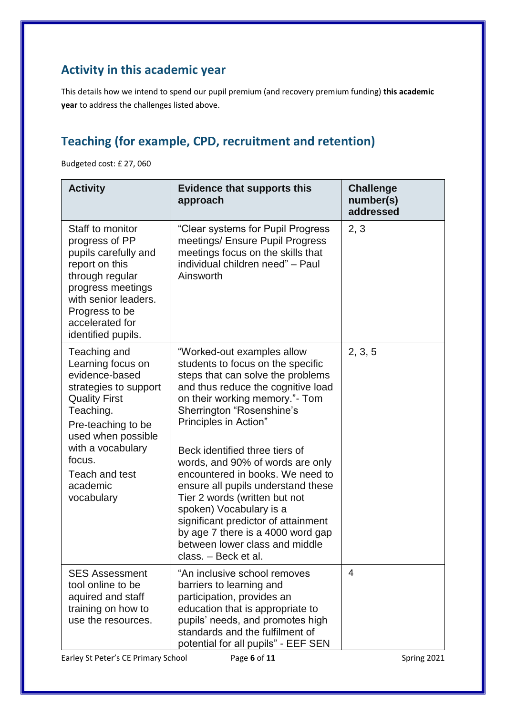#### **Activity in this academic year**

This details how we intend to spend our pupil premium (and recovery premium funding) **this academic year** to address the challenges listed above.

### **Teaching (for example, CPD, recruitment and retention)**

Budgeted cost: £ 27, 060

| <b>Activity</b>                                                                                                                                                                                                                                 | <b>Evidence that supports this</b><br>approach                                                                                                                                                                                                                                                                                                                                                                                                                                                                                                                                       | <b>Challenge</b><br>number(s)<br>addressed |
|-------------------------------------------------------------------------------------------------------------------------------------------------------------------------------------------------------------------------------------------------|--------------------------------------------------------------------------------------------------------------------------------------------------------------------------------------------------------------------------------------------------------------------------------------------------------------------------------------------------------------------------------------------------------------------------------------------------------------------------------------------------------------------------------------------------------------------------------------|--------------------------------------------|
| Staff to monitor<br>progress of PP<br>pupils carefully and<br>report on this<br>through regular<br>progress meetings<br>with senior leaders.<br>Progress to be<br>accelerated for<br>identified pupils.                                         | "Clear systems for Pupil Progress<br>meetings/ Ensure Pupil Progress<br>meetings focus on the skills that<br>individual children need" - Paul<br>Ainsworth                                                                                                                                                                                                                                                                                                                                                                                                                           | 2, 3                                       |
| Teaching and<br>Learning focus on<br>evidence-based<br>strategies to support<br><b>Quality First</b><br>Teaching.<br>Pre-teaching to be<br>used when possible<br>with a vocabulary<br>focus.<br><b>Teach and test</b><br>academic<br>vocabulary | "Worked-out examples allow<br>students to focus on the specific<br>steps that can solve the problems<br>and thus reduce the cognitive load<br>on their working memory."- Tom<br>Sherrington "Rosenshine's<br>Principles in Action"<br>Beck identified three tiers of<br>words, and 90% of words are only<br>encountered in books. We need to<br>ensure all pupils understand these<br>Tier 2 words (written but not<br>spoken) Vocabulary is a<br>significant predictor of attainment<br>by age 7 there is a 4000 word gap<br>between lower class and middle<br>class. - Beck et al. | 2, 3, 5                                    |
| <b>SES Assessment</b><br>tool online to be<br>aquired and staff<br>training on how to<br>use the resources.<br>Earley St Peter's CE Primary School                                                                                              | "An inclusive school removes<br>barriers to learning and<br>participation, provides an<br>education that is appropriate to<br>pupils' needs, and promotes high<br>standards and the fulfilment of<br>potential for all pupils" - EEF SEN<br>Page 6 of 11                                                                                                                                                                                                                                                                                                                             | 4<br>Spring 2021                           |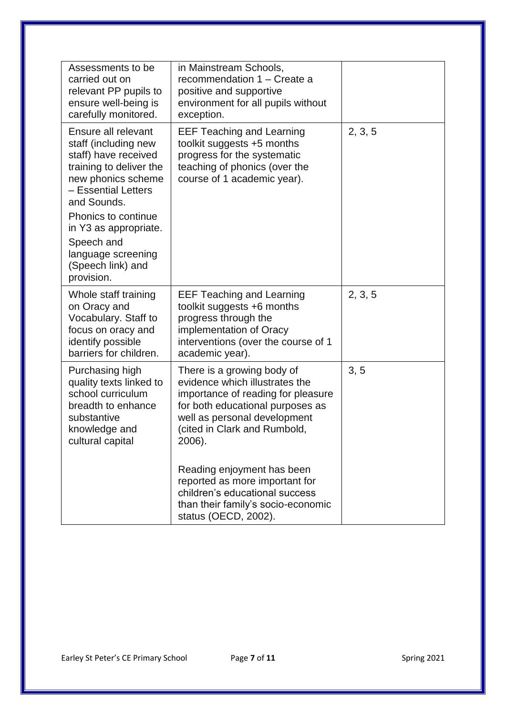| Assessments to be<br>carried out on<br>relevant PP pupils to<br>ensure well-being is<br>carefully monitored.                                                                                               | in Mainstream Schools,<br>recommendation 1 – Create a<br>positive and supportive<br>environment for all pupils without<br>exception.                                                                             |         |
|------------------------------------------------------------------------------------------------------------------------------------------------------------------------------------------------------------|------------------------------------------------------------------------------------------------------------------------------------------------------------------------------------------------------------------|---------|
| Ensure all relevant<br>staff (including new<br>staff) have received<br>training to deliver the<br>new phonics scheme<br>- Essential Letters<br>and Sounds.<br>Phonics to continue<br>in Y3 as appropriate. | <b>EEF Teaching and Learning</b><br>toolkit suggests +5 months<br>progress for the systematic<br>teaching of phonics (over the<br>course of 1 academic year).                                                    | 2, 3, 5 |
| Speech and<br>language screening<br>(Speech link) and<br>provision.                                                                                                                                        |                                                                                                                                                                                                                  |         |
| Whole staff training<br>on Oracy and<br>Vocabulary. Staff to<br>focus on oracy and<br>identify possible<br>barriers for children.                                                                          | <b>EEF Teaching and Learning</b><br>toolkit suggests +6 months<br>progress through the<br>implementation of Oracy<br>interventions (over the course of 1<br>academic year).                                      | 2, 3, 5 |
| Purchasing high<br>quality texts linked to<br>school curriculum<br>breadth to enhance<br>substantive<br>knowledge and<br>cultural capital                                                                  | There is a growing body of<br>evidence which illustrates the<br>importance of reading for pleasure<br>for both educational purposes as<br>well as personal development<br>(cited in Clark and Rumbold,<br>2006). | 3, 5    |
|                                                                                                                                                                                                            | Reading enjoyment has been<br>reported as more important for<br>children's educational success<br>than their family's socio-economic<br>status (OECD, 2002).                                                     |         |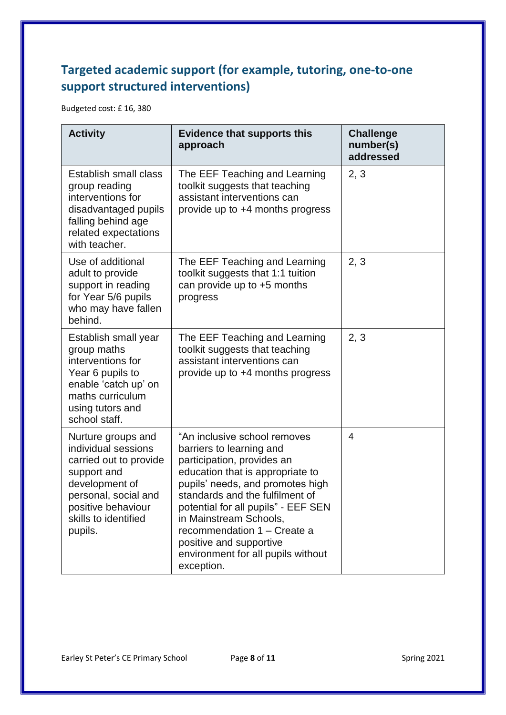#### **Targeted academic support (for example, tutoring, one-to-one support structured interventions)**

Budgeted cost: £ 16, 380

| <b>Activity</b>                                                                                                                                                                       | <b>Evidence that supports this</b><br>approach                                                                                                                                                                                                                                                                                                                                   | <b>Challenge</b><br>number(s)<br>addressed |
|---------------------------------------------------------------------------------------------------------------------------------------------------------------------------------------|----------------------------------------------------------------------------------------------------------------------------------------------------------------------------------------------------------------------------------------------------------------------------------------------------------------------------------------------------------------------------------|--------------------------------------------|
| Establish small class<br>group reading<br>interventions for<br>disadvantaged pupils<br>falling behind age<br>related expectations<br>with teacher.                                    | The EEF Teaching and Learning<br>toolkit suggests that teaching<br>assistant interventions can<br>provide up to +4 months progress                                                                                                                                                                                                                                               | 2, 3                                       |
| Use of additional<br>adult to provide<br>support in reading<br>for Year 5/6 pupils<br>who may have fallen<br>behind.                                                                  | The EEF Teaching and Learning<br>toolkit suggests that 1:1 tuition<br>can provide up to $+5$ months<br>progress                                                                                                                                                                                                                                                                  | 2, 3                                       |
| Establish small year<br>group maths<br>interventions for<br>Year 6 pupils to<br>enable 'catch up' on<br>maths curriculum<br>using tutors and<br>school staff.                         | The EEF Teaching and Learning<br>toolkit suggests that teaching<br>assistant interventions can<br>provide up to +4 months progress                                                                                                                                                                                                                                               | 2, 3                                       |
| Nurture groups and<br>individual sessions<br>carried out to provide<br>support and<br>development of<br>personal, social and<br>positive behaviour<br>skills to identified<br>pupils. | "An inclusive school removes<br>barriers to learning and<br>participation, provides an<br>education that is appropriate to<br>pupils' needs, and promotes high<br>standards and the fulfilment of<br>potential for all pupils" - EEF SEN<br>in Mainstream Schools,<br>recommendation 1 - Create a<br>positive and supportive<br>environment for all pupils without<br>exception. | 4                                          |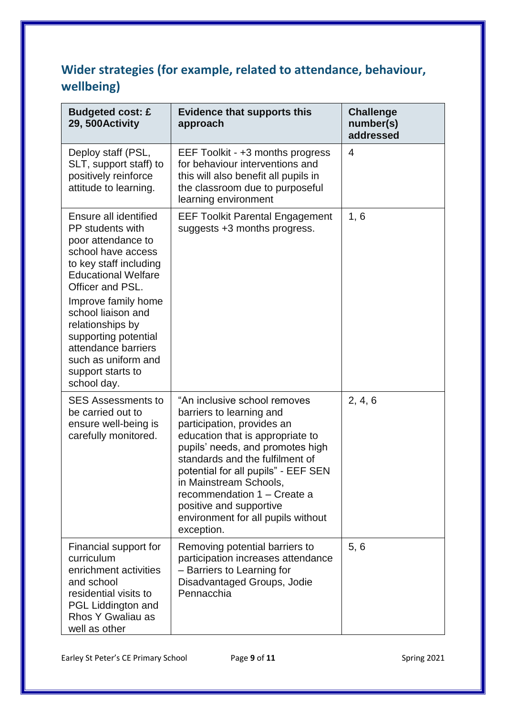#### **Wider strategies (for example, related to attendance, behaviour, wellbeing)**

| <b>Budgeted cost: £</b><br>29, 500 Activity                                                                                                                                                                                                                                                                                                  | <b>Evidence that supports this</b><br>approach                                                                                                                                                                                                                                                                                                                                   | <b>Challenge</b><br>number(s)<br>addressed |
|----------------------------------------------------------------------------------------------------------------------------------------------------------------------------------------------------------------------------------------------------------------------------------------------------------------------------------------------|----------------------------------------------------------------------------------------------------------------------------------------------------------------------------------------------------------------------------------------------------------------------------------------------------------------------------------------------------------------------------------|--------------------------------------------|
| Deploy staff (PSL,<br>SLT, support staff) to<br>positively reinforce<br>attitude to learning.                                                                                                                                                                                                                                                | EEF Toolkit - +3 months progress<br>for behaviour interventions and<br>this will also benefit all pupils in<br>the classroom due to purposeful<br>learning environment                                                                                                                                                                                                           | $\overline{4}$                             |
| Ensure all identified<br>PP students with<br>poor attendance to<br>school have access<br>to key staff including<br><b>Educational Welfare</b><br>Officer and PSL.<br>Improve family home<br>school liaison and<br>relationships by<br>supporting potential<br>attendance barriers<br>such as uniform and<br>support starts to<br>school day. | <b>EEF Toolkit Parental Engagement</b><br>suggests +3 months progress.                                                                                                                                                                                                                                                                                                           | 1, 6                                       |
| <b>SES Assessments to</b><br>be carried out to<br>ensure well-being is<br>carefully monitored.                                                                                                                                                                                                                                               | "An inclusive school removes<br>barriers to learning and<br>participation, provides an<br>education that is appropriate to<br>pupils' needs, and promotes high<br>standards and the fulfilment of<br>potential for all pupils" - EEF SEN<br>in Mainstream Schools,<br>recommendation 1 – Create a<br>positive and supportive<br>environment for all pupils without<br>exception. | 2, 4, 6                                    |
| Financial support for<br>curriculum<br>enrichment activities<br>and school<br>residential visits to<br>PGL Liddington and<br>Rhos Y Gwaliau as<br>well as other                                                                                                                                                                              | Removing potential barriers to<br>participation increases attendance<br>- Barriers to Learning for<br>Disadvantaged Groups, Jodie<br>Pennacchia                                                                                                                                                                                                                                  | 5, 6                                       |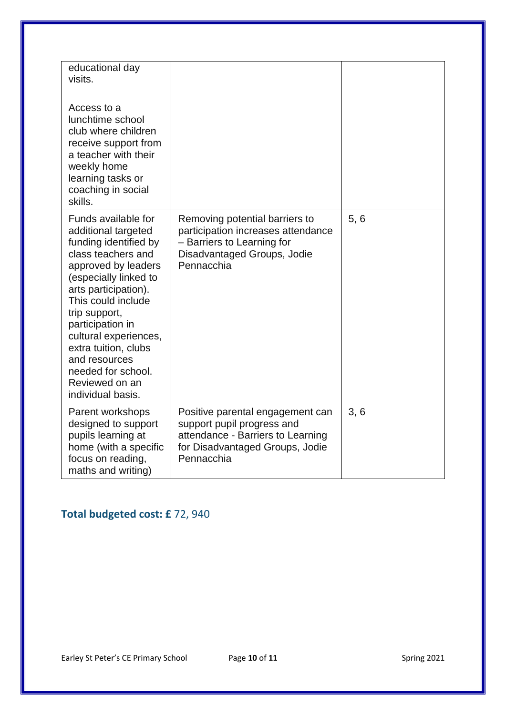| educational day<br>visits.<br>Access to a<br>lunchtime school<br>club where children<br>receive support from<br>a teacher with their<br>weekly home<br>learning tasks or<br>coaching in social<br>skills.                                                                                                                                                   |                                                                                                                                                      |      |
|-------------------------------------------------------------------------------------------------------------------------------------------------------------------------------------------------------------------------------------------------------------------------------------------------------------------------------------------------------------|------------------------------------------------------------------------------------------------------------------------------------------------------|------|
| Funds available for<br>additional targeted<br>funding identified by<br>class teachers and<br>approved by leaders<br>(especially linked to<br>arts participation).<br>This could include<br>trip support,<br>participation in<br>cultural experiences,<br>extra tuition, clubs<br>and resources<br>needed for school.<br>Reviewed on an<br>individual basis. | Removing potential barriers to<br>participation increases attendance<br>- Barriers to Learning for<br>Disadvantaged Groups, Jodie<br>Pennacchia      | 5, 6 |
| Parent workshops<br>designed to support<br>pupils learning at<br>home (with a specific<br>focus on reading,<br>maths and writing)                                                                                                                                                                                                                           | Positive parental engagement can<br>support pupil progress and<br>attendance - Barriers to Learning<br>for Disadvantaged Groups, Jodie<br>Pennacchia | 3, 6 |

#### **Total budgeted cost: £** 72, 940